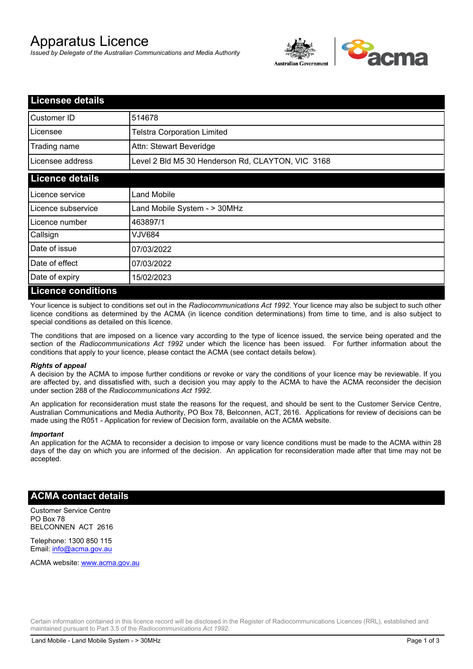# Apparatus Licence

*Issued by Delegate of the Australian Communications and Media Authority*



| <b>Licensee details</b> |                                                   |
|-------------------------|---------------------------------------------------|
| Customer ID             | 514678                                            |
| Licensee                | <b>Telstra Corporation Limited</b>                |
| Trading name            | Attn: Stewart Beveridge                           |
| Licensee address        | Level 2 Bld M5 30 Henderson Rd, CLAYTON, VIC 3168 |
| <b>Licence details</b>  |                                                   |
| Licence service         | Land Mobile                                       |
| Licence subservice      | Land Mobile System - > 30MHz                      |
| Licence number          | 463897/1                                          |
| Callsign                | VJV684                                            |
| Date of issue           | 07/03/2022                                        |
| Date of effect          | 07/03/2022                                        |
| Date of expiry          | 15/02/2023                                        |
| Licance conditions      |                                                   |

#### **Licence conditions**

Your licence is subject to conditions set out in the *Radiocommunications Act 1992*. Your licence may also be subject to such other licence conditions as determined by the ACMA (in licence condition determinations) from time to time, and is also subject to special conditions as detailed on this licence.

The conditions that are imposed on a licence vary according to the type of licence issued, the service being operated and the section of the *Radiocommunications Act 1992* under which the licence has been issued. For further information about the conditions that apply to your licence, please contact the ACMA (see contact details below).

#### *Rights of appeal*

A decision by the ACMA to impose further conditions or revoke or vary the conditions of your licence may be reviewable. If you are affected by, and dissatisfied with, such a decision you may apply to the ACMA to have the ACMA reconsider the decision under section 288 of the *Radiocommunications Act 1992*.

An application for reconsideration must state the reasons for the request, and should be sent to the Customer Service Centre, Australian Communications and Media Authority, PO Box 78, Belconnen, ACT, 2616. Applications for review of decisions can be made using the R051 - Application for review of Decision form, available on the ACMA website.

#### *Important*

An application for the ACMA to reconsider a decision to impose or vary licence conditions must be made to the ACMA within 28 days of the day on which you are informed of the decision. An application for reconsideration made after that time may not be accepted.

### **ACMA contact details**

Customer Service Centre PO Box 78 BELCONNEN ACT 2616

Telephone: 1300 850 115 Email: info@acma.gov.au

ACMA website: www.acma.gov.au

Certain information contained in this licence record will be disclosed in the Register of Radiocommunications Licences (RRL), established and maintained pursuant to Part 3.5 of the *Radiocommunications Act 1992.*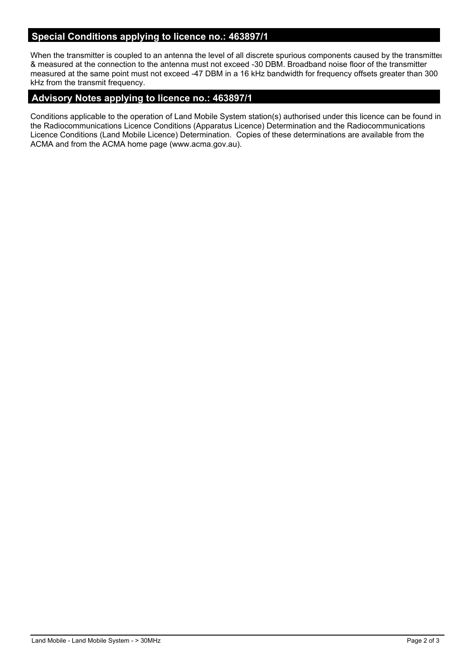## **Special Conditions applying to licence no.: 463897/1**

When the transmitter is coupled to an antenna the level of all discrete spurious components caused by the transmitter & measured at the connection to the antenna must not exceed -30 DBM. Broadband noise floor of the transmitter measured at the same point must not exceed -47 DBM in a 16 kHz bandwidth for frequency offsets greater than 300 kHz from the transmit frequency.

## **Advisory Notes applying to licence no.: 463897/1**

Conditions applicable to the operation of Land Mobile System station(s) authorised under this licence can be found in the Radiocommunications Licence Conditions (Apparatus Licence) Determination and the Radiocommunications Licence Conditions (Land Mobile Licence) Determination. Copies of these determinations are available from the ACMA and from the ACMA home page (www.acma.gov.au).